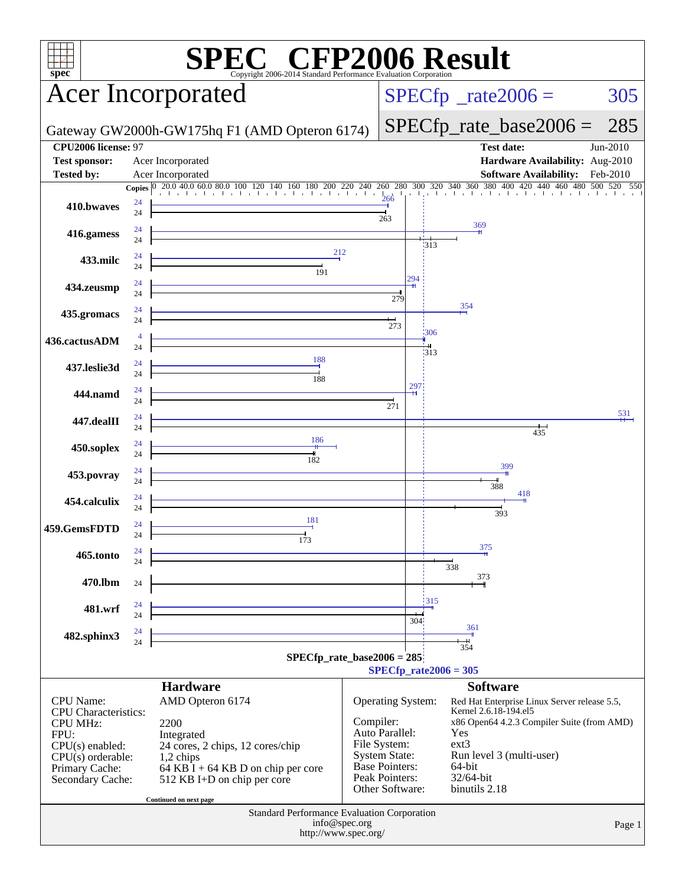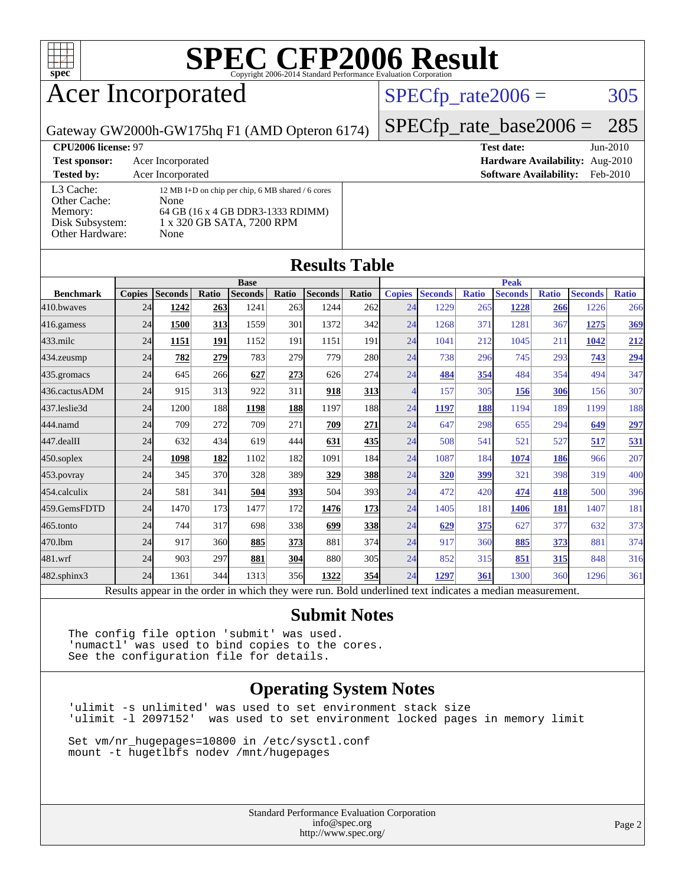

## Acer Incorporated

### $SPECTp_rate2006 = 305$

Gateway GW2000h-GW175hq F1 (AMD Opteron 6174)

**[CPU2006 license:](http://www.spec.org/auto/cpu2006/Docs/result-fields.html#CPU2006license)** 97 **[Test date:](http://www.spec.org/auto/cpu2006/Docs/result-fields.html#Testdate)** Jun-2010

| <b>Test sponsor:</b>                                                       | Acer Incorporated                                                                                                                   |
|----------------------------------------------------------------------------|-------------------------------------------------------------------------------------------------------------------------------------|
| <b>Tested by:</b>                                                          | Acer Incorporated                                                                                                                   |
| L3 Cache:<br>Other Cache:<br>Memory:<br>Disk Subsystem:<br>Other Hardware: | 12 MB I+D on chip per chip, 6 MB shared / 6 cores<br>None<br>64 GB (16 x 4 GB DDR3-1333 RDIMM)<br>1 x 320 GB SATA, 7200 RPM<br>None |

[SPECfp\\_rate\\_base2006 =](http://www.spec.org/auto/cpu2006/Docs/result-fields.html#SPECfpratebase2006) 285

**[Hardware Availability:](http://www.spec.org/auto/cpu2006/Docs/result-fields.html#HardwareAvailability)** Aug-2010 **[Software Availability:](http://www.spec.org/auto/cpu2006/Docs/result-fields.html#SoftwareAvailability)** Feb-2010

### **[Results Table](http://www.spec.org/auto/cpu2006/Docs/result-fields.html#ResultsTable)**

|                  | <b>Base</b>                                                                                              |                |       |                |            |                |                 | <b>Peak</b>   |                |              |                |              |                |              |
|------------------|----------------------------------------------------------------------------------------------------------|----------------|-------|----------------|------------|----------------|-----------------|---------------|----------------|--------------|----------------|--------------|----------------|--------------|
| <b>Benchmark</b> | <b>Copies</b>                                                                                            | <b>Seconds</b> | Ratio | <b>Seconds</b> | Ratio      | <b>Seconds</b> | <b>Ratio</b>    | <b>Copies</b> | <b>Seconds</b> | <b>Ratio</b> | <b>Seconds</b> | <b>Ratio</b> | <b>Seconds</b> | <b>Ratio</b> |
| 410.bwayes       | 24                                                                                                       | 1242           | 263   | 1241           | 263        | 1244           | 262             | 24            | 1229           | 265          | 1228           | 266          | 1226           | 266          |
| 416.gamess       | 24                                                                                                       | 1500           | 313   | 1559           | 301        | 1372           | 342             | 24            | 1268           | 371          | 1281           | 367          | 1275           | 369          |
| $433$ .milc      | 24                                                                                                       | 1151           | 191   | 1152           | 191        | 1151           | 191             | 24            | 1041           | 212          | 1045           | 211          | 1042           | 212          |
| 434.zeusmp       | 24                                                                                                       | 782            | 279   | 783            | 279        | 779            | 280             | 24            | 738            | 296          | 745            | 293          | 743            | 294          |
| 435.gromacs      | 24                                                                                                       | 645            | 266   | 627            | 273        | 626            | 274             | 24            | 484            | 354          | 484            | 354          | 494            | 347          |
| 436.cactusADM    | 24                                                                                                       | 915            | 313   | 922            | 311        | 918            | <u>313</u>      | 4             | 157            | 305          | 156            | 306          | 156            | 307          |
| 437.leslie3d     | 24                                                                                                       | 1200           | 188   | 1198           | <b>188</b> | 1197           | 188             | 24            | 1197           | 188          | 1194           | 189          | 1199           | 188          |
| 444.namd         | 24                                                                                                       | 709            | 272   | 709            | 271        | 709            | 271             | 24            | 647            | 298          | 655            | 294          | 649            | 297          |
| 447.dealII       | 24                                                                                                       | 632            | 434   | 619            | 444        | 631            | 435             | 24            | 508            | 541          | 521            | 527          | 517            | 531          |
| $450$ .soplex    | 24                                                                                                       | 1098           | 182   | 1102           | 182        | 1091           | 184             | 24            | 1087           | 184          | 1074           | 186          | 966            | 207          |
| $453$ .povray    | 24                                                                                                       | 345            | 370   | 328            | 389        | <u>329</u>     | <b>388</b>      | 24            | <b>320</b>     | 399          | 321            | 398          | 319            | 400          |
| 454.calculix     | 24                                                                                                       | 581            | 341   | 504            | <u>393</u> | 504            | 393             | 24            | 472            | 420          | 474            | 418          | 500            | 396          |
| 459.GemsFDTD     | 24                                                                                                       | 1470           | 173   | 1477           | 172        | 1476           | <b>173</b>      | 24            | 1405           | 181          | 1406           | 181          | 1407           | 181          |
| 465.tonto        | 24                                                                                                       | 744            | 317   | 698            | 338        | 699            | <b>338</b>      | 24            | 629            | 375          | 627            | 377          | 632            | 373          |
| 470.1bm          | 24                                                                                                       | 917            | 360   | 885            | 373        | 881            | 374             | 24            | 917            | 360          | 885            | 373          | 881            | 374          |
| 481.wrf          | 24                                                                                                       | 903            | 297   | 881            | 304        | 880            | 30 <sub>5</sub> | 24            | 852            | 315          | 851            | 315          | 848            | 316          |
| 482.sphinx3      | 24                                                                                                       | 1361           | 344   | 1313           | 356        | 1322           | 354             | 24            | 1297           | 361          | 1300           | 360          | 1296           | 361          |
|                  | Results appear in the order in which they were run. Bold underlined text indicates a median measurement. |                |       |                |            |                |                 |               |                |              |                |              |                |              |

### **[Submit Notes](http://www.spec.org/auto/cpu2006/Docs/result-fields.html#SubmitNotes)**

The config file option 'submit' was used. 'numactl' was used to bind copies to the cores. See the configuration file for details.

### **[Operating System Notes](http://www.spec.org/auto/cpu2006/Docs/result-fields.html#OperatingSystemNotes)**

'ulimit -s unlimited' was used to set environment stack size 'ulimit -l 2097152' was used to set environment locked pages in memory limit

Set vm/nr\_hugepages=10800 in /etc/sysctl.conf mount -t hugetlbfs nodev /mnt/hugepages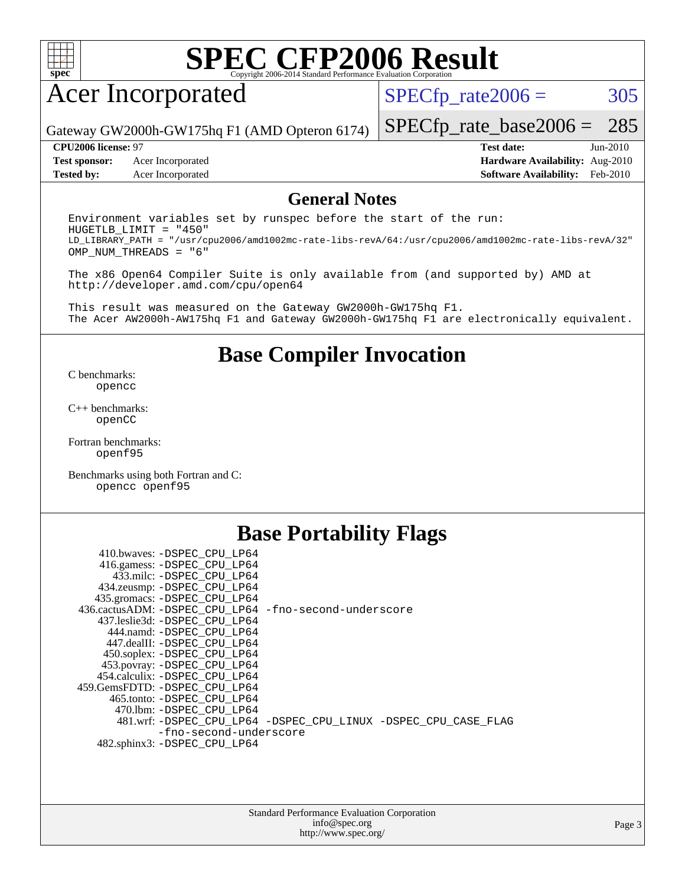

## Acer Incorporated

 $SPECTp_rate2006 = 305$ 

Gateway GW2000h-GW175hq F1 (AMD Opteron 6174)

**[Test sponsor:](http://www.spec.org/auto/cpu2006/Docs/result-fields.html#Testsponsor)** Acer Incorporated **[Hardware Availability:](http://www.spec.org/auto/cpu2006/Docs/result-fields.html#HardwareAvailability)** Aug-2010

[SPECfp\\_rate\\_base2006 =](http://www.spec.org/auto/cpu2006/Docs/result-fields.html#SPECfpratebase2006) 285 **[CPU2006 license:](http://www.spec.org/auto/cpu2006/Docs/result-fields.html#CPU2006license)** 97 **[Test date:](http://www.spec.org/auto/cpu2006/Docs/result-fields.html#Testdate)** Jun-2010

### **[Tested by:](http://www.spec.org/auto/cpu2006/Docs/result-fields.html#Testedby)** Acer Incorporated **[Software Availability:](http://www.spec.org/auto/cpu2006/Docs/result-fields.html#SoftwareAvailability)** Feb-2010

### **[General Notes](http://www.spec.org/auto/cpu2006/Docs/result-fields.html#GeneralNotes)**

Environment variables set by runspec before the start of the run: HUGETLB\_LIMIT = "450" LD\_LIBRARY\_PATH = "/usr/cpu2006/amd1002mc-rate-libs-revA/64:/usr/cpu2006/amd1002mc-rate-libs-revA/32" OMP\_NUM\_THREADS = "6"

The x86 Open64 Compiler Suite is only available from (and supported by) AMD at <http://developer.amd.com/cpu/open64>

This result was measured on the Gateway GW2000h-GW175hq F1. The Acer AW2000h-AW175hq F1 and Gateway GW2000h-GW175hq F1 are electronically equivalent.

### **[Base Compiler Invocation](http://www.spec.org/auto/cpu2006/Docs/result-fields.html#BaseCompilerInvocation)**

[C benchmarks](http://www.spec.org/auto/cpu2006/Docs/result-fields.html#Cbenchmarks): [opencc](http://www.spec.org/cpu2006/results/res2010q3/cpu2006-20100706-12351.flags.html#user_CCbase_Fopencc)

[C++ benchmarks:](http://www.spec.org/auto/cpu2006/Docs/result-fields.html#CXXbenchmarks) [openCC](http://www.spec.org/cpu2006/results/res2010q3/cpu2006-20100706-12351.flags.html#user_CXXbase_FopenCC)

[Fortran benchmarks](http://www.spec.org/auto/cpu2006/Docs/result-fields.html#Fortranbenchmarks): [openf95](http://www.spec.org/cpu2006/results/res2010q3/cpu2006-20100706-12351.flags.html#user_FCbase_Fopenf95)

[Benchmarks using both Fortran and C](http://www.spec.org/auto/cpu2006/Docs/result-fields.html#BenchmarksusingbothFortranandC): [opencc](http://www.spec.org/cpu2006/results/res2010q3/cpu2006-20100706-12351.flags.html#user_CC_FCbase_Fopencc) [openf95](http://www.spec.org/cpu2006/results/res2010q3/cpu2006-20100706-12351.flags.html#user_CC_FCbase_Fopenf95)

### **[Base Portability Flags](http://www.spec.org/auto/cpu2006/Docs/result-fields.html#BasePortabilityFlags)**

 410.bwaves: [-DSPEC\\_CPU\\_LP64](http://www.spec.org/cpu2006/results/res2010q3/cpu2006-20100706-12351.flags.html#suite_basePORTABILITY410_bwaves_DSPEC_CPU_LP64) 416.gamess: [-DSPEC\\_CPU\\_LP64](http://www.spec.org/cpu2006/results/res2010q3/cpu2006-20100706-12351.flags.html#suite_basePORTABILITY416_gamess_DSPEC_CPU_LP64) 433.milc: [-DSPEC\\_CPU\\_LP64](http://www.spec.org/cpu2006/results/res2010q3/cpu2006-20100706-12351.flags.html#suite_basePORTABILITY433_milc_DSPEC_CPU_LP64) 434.zeusmp: [-DSPEC\\_CPU\\_LP64](http://www.spec.org/cpu2006/results/res2010q3/cpu2006-20100706-12351.flags.html#suite_basePORTABILITY434_zeusmp_DSPEC_CPU_LP64) 435.gromacs: [-DSPEC\\_CPU\\_LP64](http://www.spec.org/cpu2006/results/res2010q3/cpu2006-20100706-12351.flags.html#suite_basePORTABILITY435_gromacs_DSPEC_CPU_LP64) 436.cactusADM: [-DSPEC\\_CPU\\_LP64](http://www.spec.org/cpu2006/results/res2010q3/cpu2006-20100706-12351.flags.html#suite_basePORTABILITY436_cactusADM_DSPEC_CPU_LP64) [-fno-second-underscore](http://www.spec.org/cpu2006/results/res2010q3/cpu2006-20100706-12351.flags.html#user_baseFPORTABILITY436_cactusADM_F-fno-second-underscore) 437.leslie3d: [-DSPEC\\_CPU\\_LP64](http://www.spec.org/cpu2006/results/res2010q3/cpu2006-20100706-12351.flags.html#suite_basePORTABILITY437_leslie3d_DSPEC_CPU_LP64) 444.namd: [-DSPEC\\_CPU\\_LP64](http://www.spec.org/cpu2006/results/res2010q3/cpu2006-20100706-12351.flags.html#suite_basePORTABILITY444_namd_DSPEC_CPU_LP64) 447.dealII: [-DSPEC\\_CPU\\_LP64](http://www.spec.org/cpu2006/results/res2010q3/cpu2006-20100706-12351.flags.html#suite_basePORTABILITY447_dealII_DSPEC_CPU_LP64) 450.soplex: [-DSPEC\\_CPU\\_LP64](http://www.spec.org/cpu2006/results/res2010q3/cpu2006-20100706-12351.flags.html#suite_basePORTABILITY450_soplex_DSPEC_CPU_LP64) 453.povray: [-DSPEC\\_CPU\\_LP64](http://www.spec.org/cpu2006/results/res2010q3/cpu2006-20100706-12351.flags.html#suite_basePORTABILITY453_povray_DSPEC_CPU_LP64) 454.calculix: [-DSPEC\\_CPU\\_LP64](http://www.spec.org/cpu2006/results/res2010q3/cpu2006-20100706-12351.flags.html#suite_basePORTABILITY454_calculix_DSPEC_CPU_LP64) 459.GemsFDTD: [-DSPEC\\_CPU\\_LP64](http://www.spec.org/cpu2006/results/res2010q3/cpu2006-20100706-12351.flags.html#suite_basePORTABILITY459_GemsFDTD_DSPEC_CPU_LP64) 465.tonto: [-DSPEC\\_CPU\\_LP64](http://www.spec.org/cpu2006/results/res2010q3/cpu2006-20100706-12351.flags.html#suite_basePORTABILITY465_tonto_DSPEC_CPU_LP64) 470.lbm: [-DSPEC\\_CPU\\_LP64](http://www.spec.org/cpu2006/results/res2010q3/cpu2006-20100706-12351.flags.html#suite_basePORTABILITY470_lbm_DSPEC_CPU_LP64) 481.wrf: [-DSPEC\\_CPU\\_LP64](http://www.spec.org/cpu2006/results/res2010q3/cpu2006-20100706-12351.flags.html#suite_basePORTABILITY481_wrf_DSPEC_CPU_LP64) [-DSPEC\\_CPU\\_LINUX](http://www.spec.org/cpu2006/results/res2010q3/cpu2006-20100706-12351.flags.html#b481.wrf_baseCPORTABILITY_DSPEC_CPU_LINUX) [-DSPEC\\_CPU\\_CASE\\_FLAG](http://www.spec.org/cpu2006/results/res2010q3/cpu2006-20100706-12351.flags.html#b481.wrf_baseCPORTABILITY_DSPEC_CPU_CASE_FLAG) [-fno-second-underscore](http://www.spec.org/cpu2006/results/res2010q3/cpu2006-20100706-12351.flags.html#user_baseFPORTABILITY481_wrf_F-fno-second-underscore) 482.sphinx3: [-DSPEC\\_CPU\\_LP64](http://www.spec.org/cpu2006/results/res2010q3/cpu2006-20100706-12351.flags.html#suite_basePORTABILITY482_sphinx3_DSPEC_CPU_LP64)

| <b>Standard Performance Evaluation Corporation</b> |
|----------------------------------------------------|
| info@spec.org                                      |
| http://www.spec.org/                               |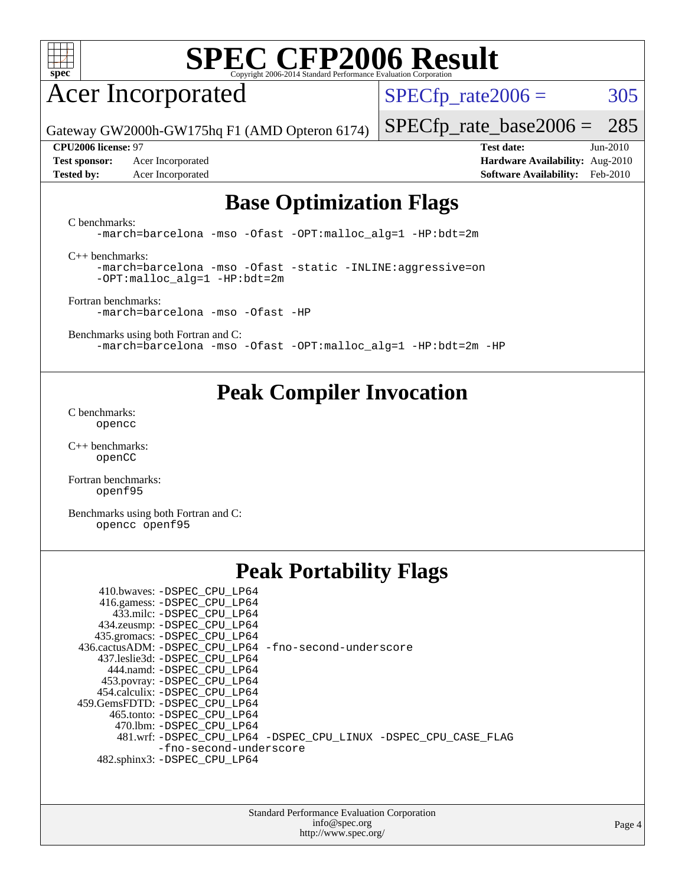

## Acer Incorporated

 $SPECTp_rate2006 = 305$ 

[SPECfp\\_rate\\_base2006 =](http://www.spec.org/auto/cpu2006/Docs/result-fields.html#SPECfpratebase2006) 285

Gateway GW2000h-GW175hq F1 (AMD Opteron 6174)

**[Test sponsor:](http://www.spec.org/auto/cpu2006/Docs/result-fields.html#Testsponsor)** Acer Incorporated **[Hardware Availability:](http://www.spec.org/auto/cpu2006/Docs/result-fields.html#HardwareAvailability)** Aug-2010 **[Tested by:](http://www.spec.org/auto/cpu2006/Docs/result-fields.html#Testedby)** Acer Incorporated **[Software Availability:](http://www.spec.org/auto/cpu2006/Docs/result-fields.html#SoftwareAvailability)** Feb-2010

**[CPU2006 license:](http://www.spec.org/auto/cpu2006/Docs/result-fields.html#CPU2006license)** 97 **[Test date:](http://www.spec.org/auto/cpu2006/Docs/result-fields.html#Testdate)** Jun-2010

### **[Base Optimization Flags](http://www.spec.org/auto/cpu2006/Docs/result-fields.html#BaseOptimizationFlags)**

[C benchmarks](http://www.spec.org/auto/cpu2006/Docs/result-fields.html#Cbenchmarks):

[-march=barcelona](http://www.spec.org/cpu2006/results/res2010q3/cpu2006-20100706-12351.flags.html#user_CCbase_F-march_8ea39521cada96f307a04d0b8b9c6ffb) [-mso](http://www.spec.org/cpu2006/results/res2010q3/cpu2006-20100706-12351.flags.html#user_CCbase_F-mso) [-Ofast](http://www.spec.org/cpu2006/results/res2010q3/cpu2006-20100706-12351.flags.html#user_CCbase_F-Ofast) [-OPT:malloc\\_alg=1](http://www.spec.org/cpu2006/results/res2010q3/cpu2006-20100706-12351.flags.html#user_CCbase_F-OPT:malloc_algorithm_58733815edefaa612c2ed769b716daa0) [-HP:bdt=2m](http://www.spec.org/cpu2006/results/res2010q3/cpu2006-20100706-12351.flags.html#user_CCbase_F-HUGEPAGE_99eaea9f74400395f9f16774d1aed5d7)

[C++ benchmarks:](http://www.spec.org/auto/cpu2006/Docs/result-fields.html#CXXbenchmarks)

[-march=barcelona](http://www.spec.org/cpu2006/results/res2010q3/cpu2006-20100706-12351.flags.html#user_CXXbase_F-march_8ea39521cada96f307a04d0b8b9c6ffb) [-mso](http://www.spec.org/cpu2006/results/res2010q3/cpu2006-20100706-12351.flags.html#user_CXXbase_F-mso) [-Ofast](http://www.spec.org/cpu2006/results/res2010q3/cpu2006-20100706-12351.flags.html#user_CXXbase_F-Ofast) [-static](http://www.spec.org/cpu2006/results/res2010q3/cpu2006-20100706-12351.flags.html#user_CXXbase_F-static) [-INLINE:aggressive=on](http://www.spec.org/cpu2006/results/res2010q3/cpu2006-20100706-12351.flags.html#user_CXXbase_F-INLINE:aggressive_e14807c0a1e56a6a83cb25ab07c7ae8a) [-OPT:malloc\\_alg=1](http://www.spec.org/cpu2006/results/res2010q3/cpu2006-20100706-12351.flags.html#user_CXXbase_F-OPT:malloc_algorithm_58733815edefaa612c2ed769b716daa0) [-HP:bdt=2m](http://www.spec.org/cpu2006/results/res2010q3/cpu2006-20100706-12351.flags.html#user_CXXbase_F-HUGEPAGE_99eaea9f74400395f9f16774d1aed5d7)

[Fortran benchmarks](http://www.spec.org/auto/cpu2006/Docs/result-fields.html#Fortranbenchmarks): [-march=barcelona](http://www.spec.org/cpu2006/results/res2010q3/cpu2006-20100706-12351.flags.html#user_FCbase_F-march_8ea39521cada96f307a04d0b8b9c6ffb) [-mso](http://www.spec.org/cpu2006/results/res2010q3/cpu2006-20100706-12351.flags.html#user_FCbase_F-mso) [-Ofast](http://www.spec.org/cpu2006/results/res2010q3/cpu2006-20100706-12351.flags.html#user_FCbase_F-Ofast) [-HP](http://www.spec.org/cpu2006/results/res2010q3/cpu2006-20100706-12351.flags.html#user_FCbase_F-HUGEPAGE_5df7ddc958063186306345596c5e7dc3)

[Benchmarks using both Fortran and C](http://www.spec.org/auto/cpu2006/Docs/result-fields.html#BenchmarksusingbothFortranandC): [-march=barcelona](http://www.spec.org/cpu2006/results/res2010q3/cpu2006-20100706-12351.flags.html#user_CC_FCbase_F-march_8ea39521cada96f307a04d0b8b9c6ffb) [-mso](http://www.spec.org/cpu2006/results/res2010q3/cpu2006-20100706-12351.flags.html#user_CC_FCbase_F-mso) [-Ofast](http://www.spec.org/cpu2006/results/res2010q3/cpu2006-20100706-12351.flags.html#user_CC_FCbase_F-Ofast) [-OPT:malloc\\_alg=1](http://www.spec.org/cpu2006/results/res2010q3/cpu2006-20100706-12351.flags.html#user_CC_FCbase_F-OPT:malloc_algorithm_58733815edefaa612c2ed769b716daa0) [-HP:bdt=2m](http://www.spec.org/cpu2006/results/res2010q3/cpu2006-20100706-12351.flags.html#user_CC_FCbase_F-HUGEPAGE_99eaea9f74400395f9f16774d1aed5d7) [-HP](http://www.spec.org/cpu2006/results/res2010q3/cpu2006-20100706-12351.flags.html#user_CC_FCbase_F-HUGEPAGE_5df7ddc958063186306345596c5e7dc3)

### **[Peak Compiler Invocation](http://www.spec.org/auto/cpu2006/Docs/result-fields.html#PeakCompilerInvocation)**

[C benchmarks](http://www.spec.org/auto/cpu2006/Docs/result-fields.html#Cbenchmarks): [opencc](http://www.spec.org/cpu2006/results/res2010q3/cpu2006-20100706-12351.flags.html#user_CCpeak_Fopencc)

[C++ benchmarks:](http://www.spec.org/auto/cpu2006/Docs/result-fields.html#CXXbenchmarks) [openCC](http://www.spec.org/cpu2006/results/res2010q3/cpu2006-20100706-12351.flags.html#user_CXXpeak_FopenCC)

[Fortran benchmarks](http://www.spec.org/auto/cpu2006/Docs/result-fields.html#Fortranbenchmarks): [openf95](http://www.spec.org/cpu2006/results/res2010q3/cpu2006-20100706-12351.flags.html#user_FCpeak_Fopenf95)

[Benchmarks using both Fortran and C](http://www.spec.org/auto/cpu2006/Docs/result-fields.html#BenchmarksusingbothFortranandC): [opencc](http://www.spec.org/cpu2006/results/res2010q3/cpu2006-20100706-12351.flags.html#user_CC_FCpeak_Fopencc) [openf95](http://www.spec.org/cpu2006/results/res2010q3/cpu2006-20100706-12351.flags.html#user_CC_FCpeak_Fopenf95)

### **[Peak Portability Flags](http://www.spec.org/auto/cpu2006/Docs/result-fields.html#PeakPortabilityFlags)**

| 436.cactusADM: -DSPEC CPU LP64 -fno-second-underscore          |
|----------------------------------------------------------------|
|                                                                |
|                                                                |
|                                                                |
|                                                                |
|                                                                |
|                                                                |
|                                                                |
| 481.wrf: -DSPEC_CPU_LP64 -DSPEC_CPU_LINUX -DSPEC_CPU_CASE_FLAG |
| -fno-second-underscore                                         |
|                                                                |
|                                                                |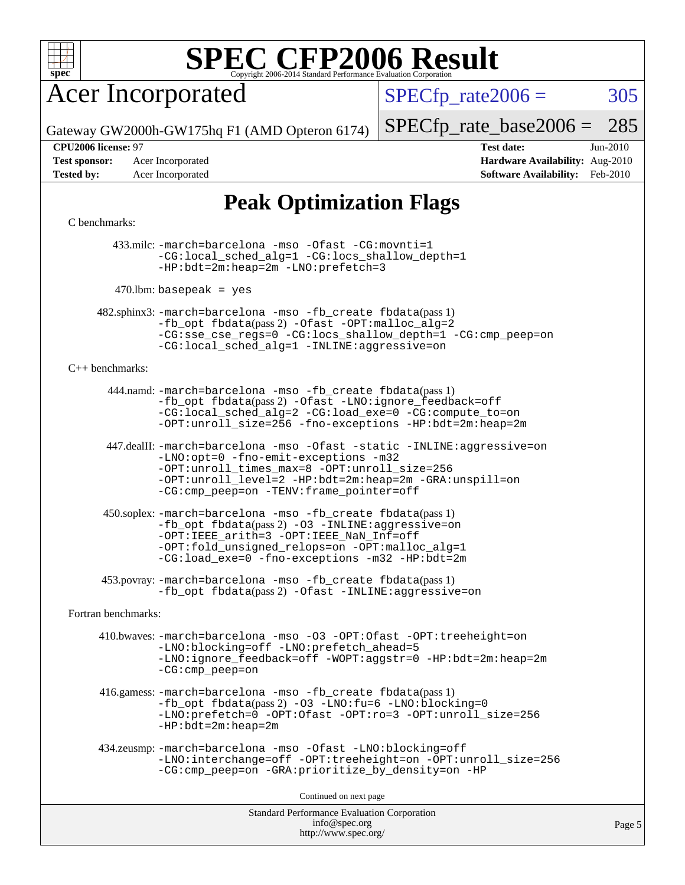

### Acer Incorporated

 $SPECTp_rate2006 = 305$ 

Gateway GW2000h-GW175hq F1 (AMD Opteron 6174)

[SPECfp\\_rate\\_base2006 =](http://www.spec.org/auto/cpu2006/Docs/result-fields.html#SPECfpratebase2006) 285

**[Test sponsor:](http://www.spec.org/auto/cpu2006/Docs/result-fields.html#Testsponsor)** Acer Incorporated **[Hardware Availability:](http://www.spec.org/auto/cpu2006/Docs/result-fields.html#HardwareAvailability)** Aug-2010

**[CPU2006 license:](http://www.spec.org/auto/cpu2006/Docs/result-fields.html#CPU2006license)** 97 **[Test date:](http://www.spec.org/auto/cpu2006/Docs/result-fields.html#Testdate)** Jun-2010 **[Tested by:](http://www.spec.org/auto/cpu2006/Docs/result-fields.html#Testedby)** Acer Incorporated **[Software Availability:](http://www.spec.org/auto/cpu2006/Docs/result-fields.html#SoftwareAvailability)** Feb-2010

### **[Peak Optimization Flags](http://www.spec.org/auto/cpu2006/Docs/result-fields.html#PeakOptimizationFlags)**

### [C benchmarks](http://www.spec.org/auto/cpu2006/Docs/result-fields.html#Cbenchmarks):

 433.milc: [-march=barcelona](http://www.spec.org/cpu2006/results/res2010q3/cpu2006-20100706-12351.flags.html#user_peakCCLD433_milc_F-march_8ea39521cada96f307a04d0b8b9c6ffb) [-mso](http://www.spec.org/cpu2006/results/res2010q3/cpu2006-20100706-12351.flags.html#user_peakCCLD433_milc_F-mso) [-Ofast](http://www.spec.org/cpu2006/results/res2010q3/cpu2006-20100706-12351.flags.html#user_peakCOPTIMIZE433_milc_F-Ofast) [-CG:movnti=1](http://www.spec.org/cpu2006/results/res2010q3/cpu2006-20100706-12351.flags.html#user_peakCOPTIMIZE433_milc_F-CG:movnti_c5191dc1f6da57382570e339f0143b6b) [-CG:local\\_sched\\_alg=1](http://www.spec.org/cpu2006/results/res2010q3/cpu2006-20100706-12351.flags.html#user_peakCOPTIMIZE433_milc_F-CG:local_sched_alg_2175ca61f1a2717f1ec57b14995b9e7a) [-CG:locs\\_shallow\\_depth=1](http://www.spec.org/cpu2006/results/res2010q3/cpu2006-20100706-12351.flags.html#user_peakCOPTIMIZE433_milc_F-CG:locs_shallow_depth_ec0a53d3def1c53dcd5985fc16cc23f2) [-HP:bdt=2m:heap=2m](http://www.spec.org/cpu2006/results/res2010q3/cpu2006-20100706-12351.flags.html#user_peakCOPTIMIZE433_milc_F-HUGEPAGE_855e97383b49831f390a2af16fe7202f) [-LNO:prefetch=3](http://www.spec.org/cpu2006/results/res2010q3/cpu2006-20100706-12351.flags.html#user_peakCOPTIMIZE433_milc_F-LNO:prefetch_73b5a9400a8f80d6e23f06aa34f07c5f)

 $470$ .lbm: basepeak = yes

 482.sphinx3: [-march=barcelona](http://www.spec.org/cpu2006/results/res2010q3/cpu2006-20100706-12351.flags.html#user_peakCCLD482_sphinx3_F-march_8ea39521cada96f307a04d0b8b9c6ffb) [-mso](http://www.spec.org/cpu2006/results/res2010q3/cpu2006-20100706-12351.flags.html#user_peakCCLD482_sphinx3_F-mso) [-fb\\_create fbdata](http://www.spec.org/cpu2006/results/res2010q3/cpu2006-20100706-12351.flags.html#user_peakPASS1_CFLAGSPASS1_LDFLAGS482_sphinx3_F-fb_create_filename)(pass 1) [-fb\\_opt fbdata](http://www.spec.org/cpu2006/results/res2010q3/cpu2006-20100706-12351.flags.html#user_peakPASS2_CFLAGSPASS2_LDFLAGS482_sphinx3_F-fb_opt_filename)(pass 2) [-Ofast](http://www.spec.org/cpu2006/results/res2010q3/cpu2006-20100706-12351.flags.html#user_peakCOPTIMIZE482_sphinx3_F-Ofast) [-OPT:malloc\\_alg=2](http://www.spec.org/cpu2006/results/res2010q3/cpu2006-20100706-12351.flags.html#user_peakCOPTIMIZE482_sphinx3_F-OPT:malloc_algorithm_e62903d0840423b2a5cd674766328c33) [-CG:sse\\_cse\\_regs=0](http://www.spec.org/cpu2006/results/res2010q3/cpu2006-20100706-12351.flags.html#user_peakCOPTIMIZE482_sphinx3_F-CG:sse_cse_regs_7df8d7006fcaae90aa34e4c541216ae1) [-CG:locs\\_shallow\\_depth=1](http://www.spec.org/cpu2006/results/res2010q3/cpu2006-20100706-12351.flags.html#user_peakCOPTIMIZE482_sphinx3_F-CG:locs_shallow_depth_ec0a53d3def1c53dcd5985fc16cc23f2) [-CG:cmp\\_peep=on](http://www.spec.org/cpu2006/results/res2010q3/cpu2006-20100706-12351.flags.html#user_peakCOPTIMIZE482_sphinx3_F-CG:cmp_peep_ab90c979e95bee1f1f617a32622424ed) [-CG:local\\_sched\\_alg=1](http://www.spec.org/cpu2006/results/res2010q3/cpu2006-20100706-12351.flags.html#user_peakCOPTIMIZE482_sphinx3_F-CG:local_sched_alg_2175ca61f1a2717f1ec57b14995b9e7a) [-INLINE:aggressive=on](http://www.spec.org/cpu2006/results/res2010q3/cpu2006-20100706-12351.flags.html#user_peakCOPTIMIZE482_sphinx3_F-INLINE:aggressive_e14807c0a1e56a6a83cb25ab07c7ae8a)

### [C++ benchmarks:](http://www.spec.org/auto/cpu2006/Docs/result-fields.html#CXXbenchmarks)

 444.namd: [-march=barcelona](http://www.spec.org/cpu2006/results/res2010q3/cpu2006-20100706-12351.flags.html#user_peakCXXLD444_namd_F-march_8ea39521cada96f307a04d0b8b9c6ffb) [-mso](http://www.spec.org/cpu2006/results/res2010q3/cpu2006-20100706-12351.flags.html#user_peakCXXLD444_namd_F-mso) [-fb\\_create fbdata](http://www.spec.org/cpu2006/results/res2010q3/cpu2006-20100706-12351.flags.html#user_peakPASS1_CXXFLAGSPASS1_LDFLAGS444_namd_F-fb_create_filename)(pass 1) [-fb\\_opt fbdata](http://www.spec.org/cpu2006/results/res2010q3/cpu2006-20100706-12351.flags.html#user_peakPASS2_CXXFLAGSPASS2_LDFLAGS444_namd_F-fb_opt_filename)(pass 2) [-Ofast](http://www.spec.org/cpu2006/results/res2010q3/cpu2006-20100706-12351.flags.html#user_peakCXXOPTIMIZE444_namd_F-Ofast) [-LNO:ignore\\_feedback=off](http://www.spec.org/cpu2006/results/res2010q3/cpu2006-20100706-12351.flags.html#user_peakCXXOPTIMIZE444_namd_F-LNO:ignore_feedback_1d6d06f39185b277a955c10dfd0a9a73) [-CG:local\\_sched\\_alg=2](http://www.spec.org/cpu2006/results/res2010q3/cpu2006-20100706-12351.flags.html#user_peakCXXOPTIMIZE444_namd_F-CG:local_sched_alg_7e9cde87db6e5e7117cdd873e1f958ca) [-CG:load\\_exe=0](http://www.spec.org/cpu2006/results/res2010q3/cpu2006-20100706-12351.flags.html#user_peakCXXOPTIMIZE444_namd_F-CG:load_exe_274d025dc8e91b4834366e9e44cd78e3) [-CG:compute\\_to=on](http://www.spec.org/cpu2006/results/res2010q3/cpu2006-20100706-12351.flags.html#user_peakCXXOPTIMIZE444_namd_F-CG:compute_to_596c30b399a79f0675b006ae34a185eb) [-OPT:unroll\\_size=256](http://www.spec.org/cpu2006/results/res2010q3/cpu2006-20100706-12351.flags.html#user_peakCXXOPTIMIZE444_namd_F-OPT:unroll_size_dfa492f42f50f580c3837c8b22d14f27) [-fno-exceptions](http://www.spec.org/cpu2006/results/res2010q3/cpu2006-20100706-12351.flags.html#user_peakCXXOPTIMIZE444_namd_F-fexceptions) [-HP:bdt=2m:heap=2m](http://www.spec.org/cpu2006/results/res2010q3/cpu2006-20100706-12351.flags.html#user_peakCXXOPTIMIZE444_namd_F-HUGEPAGE_855e97383b49831f390a2af16fe7202f)

 447.dealII: [-march=barcelona](http://www.spec.org/cpu2006/results/res2010q3/cpu2006-20100706-12351.flags.html#user_peakCXXLD447_dealII_F-march_8ea39521cada96f307a04d0b8b9c6ffb) [-mso](http://www.spec.org/cpu2006/results/res2010q3/cpu2006-20100706-12351.flags.html#user_peakCXXLD447_dealII_F-mso) [-Ofast](http://www.spec.org/cpu2006/results/res2010q3/cpu2006-20100706-12351.flags.html#user_peakCXXOPTIMIZE447_dealII_F-Ofast) [-static](http://www.spec.org/cpu2006/results/res2010q3/cpu2006-20100706-12351.flags.html#user_peakCXXOPTIMIZE447_dealII_F-static) [-INLINE:aggressive=on](http://www.spec.org/cpu2006/results/res2010q3/cpu2006-20100706-12351.flags.html#user_peakCXXOPTIMIZE447_dealII_F-INLINE:aggressive_e14807c0a1e56a6a83cb25ab07c7ae8a) [-LNO:opt=0](http://www.spec.org/cpu2006/results/res2010q3/cpu2006-20100706-12351.flags.html#user_peakCXXOPTIMIZE447_dealII_F-LNO:opt_b91e8b13d06f45039299c6496cc69a5f) [-fno-emit-exceptions](http://www.spec.org/cpu2006/results/res2010q3/cpu2006-20100706-12351.flags.html#user_peakCXXOPTIMIZE447_dealII_F-fno-emit-exceptions) [-m32](http://www.spec.org/cpu2006/results/res2010q3/cpu2006-20100706-12351.flags.html#user_peakCXXOPTIMIZE447_dealII_F-m32) [-OPT:unroll\\_times\\_max=8](http://www.spec.org/cpu2006/results/res2010q3/cpu2006-20100706-12351.flags.html#user_peakCXXOPTIMIZE447_dealII_F-OPT:unroll_times_max_1ad8852298ca2c36a68b2d007aae0e22) [-OPT:unroll\\_size=256](http://www.spec.org/cpu2006/results/res2010q3/cpu2006-20100706-12351.flags.html#user_peakCXXOPTIMIZE447_dealII_F-OPT:unroll_size_dfa492f42f50f580c3837c8b22d14f27) [-OPT:unroll\\_level=2](http://www.spec.org/cpu2006/results/res2010q3/cpu2006-20100706-12351.flags.html#user_peakCXXOPTIMIZE447_dealII_F-OPT:unroll_level_2cd767e66711a193dd7aad8ffe1e4d20) [-HP:bdt=2m:heap=2m](http://www.spec.org/cpu2006/results/res2010q3/cpu2006-20100706-12351.flags.html#user_peakCXXOPTIMIZE447_dealII_F-HUGEPAGE_855e97383b49831f390a2af16fe7202f) [-GRA:unspill=on](http://www.spec.org/cpu2006/results/res2010q3/cpu2006-20100706-12351.flags.html#user_peakCXXOPTIMIZE447_dealII_F-GRA:unspill_1a6c98043856890311246be72b057593) [-CG:cmp\\_peep=on](http://www.spec.org/cpu2006/results/res2010q3/cpu2006-20100706-12351.flags.html#user_peakCXXOPTIMIZE447_dealII_F-CG:cmp_peep_ab90c979e95bee1f1f617a32622424ed) [-TENV:frame\\_pointer=off](http://www.spec.org/cpu2006/results/res2010q3/cpu2006-20100706-12351.flags.html#user_peakCXXOPTIMIZE447_dealII_F-TENV:frame_pointer_2e92068e13bfe2cecb58286df627594f)

 450.soplex: [-march=barcelona](http://www.spec.org/cpu2006/results/res2010q3/cpu2006-20100706-12351.flags.html#user_peakCXXLD450_soplex_F-march_8ea39521cada96f307a04d0b8b9c6ffb) [-mso](http://www.spec.org/cpu2006/results/res2010q3/cpu2006-20100706-12351.flags.html#user_peakCXXLD450_soplex_F-mso) [-fb\\_create fbdata](http://www.spec.org/cpu2006/results/res2010q3/cpu2006-20100706-12351.flags.html#user_peakPASS1_CXXFLAGSPASS1_LDFLAGS450_soplex_F-fb_create_filename)(pass 1)  $-fb$  opt fbdata(pass 2) [-O3](http://www.spec.org/cpu2006/results/res2010q3/cpu2006-20100706-12351.flags.html#user_peakCXXOPTIMIZE450_soplex_F-O3) [-INLINE:aggressive=on](http://www.spec.org/cpu2006/results/res2010q3/cpu2006-20100706-12351.flags.html#user_peakCXXOPTIMIZE450_soplex_F-INLINE:aggressive_e14807c0a1e56a6a83cb25ab07c7ae8a) [-OPT:IEEE\\_arith=3](http://www.spec.org/cpu2006/results/res2010q3/cpu2006-20100706-12351.flags.html#user_peakCXXOPTIMIZE450_soplex_F-OPT:IEEE_arith_deed7f378bba536bb15e5525c2cfff5d) [-OPT:IEEE\\_NaN\\_Inf=off](http://www.spec.org/cpu2006/results/res2010q3/cpu2006-20100706-12351.flags.html#user_peakCXXOPTIMIZE450_soplex_F-OPT:IEEE_NaN_Inf_a80561cd0dc061d93d55cc50467065f5) [-OPT:fold\\_unsigned\\_relops=on](http://www.spec.org/cpu2006/results/res2010q3/cpu2006-20100706-12351.flags.html#user_peakCXXOPTIMIZE450_soplex_F-OPT:fold_unsigned_relops_3472896f4df6f05453f457c244d9ad64) [-OPT:malloc\\_alg=1](http://www.spec.org/cpu2006/results/res2010q3/cpu2006-20100706-12351.flags.html#user_peakCXXOPTIMIZE450_soplex_F-OPT:malloc_algorithm_58733815edefaa612c2ed769b716daa0) [-CG:load\\_exe=0](http://www.spec.org/cpu2006/results/res2010q3/cpu2006-20100706-12351.flags.html#user_peakCXXOPTIMIZE450_soplex_F-CG:load_exe_274d025dc8e91b4834366e9e44cd78e3) [-fno-exceptions](http://www.spec.org/cpu2006/results/res2010q3/cpu2006-20100706-12351.flags.html#user_peakCXXOPTIMIZE450_soplex_F-fexceptions) [-m32](http://www.spec.org/cpu2006/results/res2010q3/cpu2006-20100706-12351.flags.html#user_peakCXXOPTIMIZE450_soplex_F-m32) [-HP:bdt=2m](http://www.spec.org/cpu2006/results/res2010q3/cpu2006-20100706-12351.flags.html#user_peakCXXOPTIMIZE450_soplex_F-HUGEPAGE_99eaea9f74400395f9f16774d1aed5d7)

 453.povray: [-march=barcelona](http://www.spec.org/cpu2006/results/res2010q3/cpu2006-20100706-12351.flags.html#user_peakCXXLD453_povray_F-march_8ea39521cada96f307a04d0b8b9c6ffb) [-mso](http://www.spec.org/cpu2006/results/res2010q3/cpu2006-20100706-12351.flags.html#user_peakCXXLD453_povray_F-mso) [-fb\\_create fbdata](http://www.spec.org/cpu2006/results/res2010q3/cpu2006-20100706-12351.flags.html#user_peakPASS1_CXXFLAGSPASS1_LDFLAGS453_povray_F-fb_create_filename)(pass 1) -fb opt fbdata(pass 2) [-Ofast](http://www.spec.org/cpu2006/results/res2010q3/cpu2006-20100706-12351.flags.html#user_peakCXXOPTIMIZE453_povray_F-Ofast) [-INLINE:aggressive=on](http://www.spec.org/cpu2006/results/res2010q3/cpu2006-20100706-12351.flags.html#user_peakCXXOPTIMIZE453_povray_F-INLINE:aggressive_e14807c0a1e56a6a83cb25ab07c7ae8a)

[Fortran benchmarks](http://www.spec.org/auto/cpu2006/Docs/result-fields.html#Fortranbenchmarks):

 410.bwaves: [-march=barcelona](http://www.spec.org/cpu2006/results/res2010q3/cpu2006-20100706-12351.flags.html#user_peakFCLD410_bwaves_F-march_8ea39521cada96f307a04d0b8b9c6ffb) [-mso](http://www.spec.org/cpu2006/results/res2010q3/cpu2006-20100706-12351.flags.html#user_peakFCLD410_bwaves_F-mso) [-O3](http://www.spec.org/cpu2006/results/res2010q3/cpu2006-20100706-12351.flags.html#user_peakFOPTIMIZE410_bwaves_F-O3) [-OPT:Ofast](http://www.spec.org/cpu2006/results/res2010q3/cpu2006-20100706-12351.flags.html#user_peakFOPTIMIZE410_bwaves_F-OPT:Ofast) [-OPT:treeheight=on](http://www.spec.org/cpu2006/results/res2010q3/cpu2006-20100706-12351.flags.html#user_peakFOPTIMIZE410_bwaves_F-OPT:treeheight_cfc70e9aefb9f92101ba198ff7377f7c) [-LNO:blocking=off](http://www.spec.org/cpu2006/results/res2010q3/cpu2006-20100706-12351.flags.html#user_peakFOPTIMIZE410_bwaves_F-LNO:blocking_806f5758a3ec85ed57cd5625787129f2) [-LNO:prefetch\\_ahead=5](http://www.spec.org/cpu2006/results/res2010q3/cpu2006-20100706-12351.flags.html#user_peakFOPTIMIZE410_bwaves_F-LNO:prefetch_ahead_c59c70d489a430be6e6f849be2b84ce8) [-LNO:ignore\\_feedback=off](http://www.spec.org/cpu2006/results/res2010q3/cpu2006-20100706-12351.flags.html#user_peakFOPTIMIZE410_bwaves_F-LNO:ignore_feedback_1d6d06f39185b277a955c10dfd0a9a73) [-WOPT:aggstr=0](http://www.spec.org/cpu2006/results/res2010q3/cpu2006-20100706-12351.flags.html#user_peakFOPTIMIZE410_bwaves_F-WOPT:aggstr_e9f678663e612582e440992a3901d0b4) [-HP:bdt=2m:heap=2m](http://www.spec.org/cpu2006/results/res2010q3/cpu2006-20100706-12351.flags.html#user_peakFOPTIMIZE410_bwaves_F-HUGEPAGE_855e97383b49831f390a2af16fe7202f) [-CG:cmp\\_peep=on](http://www.spec.org/cpu2006/results/res2010q3/cpu2006-20100706-12351.flags.html#user_peakFOPTIMIZE410_bwaves_F-CG:cmp_peep_ab90c979e95bee1f1f617a32622424ed)

 416.gamess: [-march=barcelona](http://www.spec.org/cpu2006/results/res2010q3/cpu2006-20100706-12351.flags.html#user_peakFCLD416_gamess_F-march_8ea39521cada96f307a04d0b8b9c6ffb) [-mso](http://www.spec.org/cpu2006/results/res2010q3/cpu2006-20100706-12351.flags.html#user_peakFCLD416_gamess_F-mso) [-fb\\_create fbdata](http://www.spec.org/cpu2006/results/res2010q3/cpu2006-20100706-12351.flags.html#user_peakPASS1_FFLAGSPASS1_LDFLAGS416_gamess_F-fb_create_filename)(pass 1) [-fb\\_opt fbdata](http://www.spec.org/cpu2006/results/res2010q3/cpu2006-20100706-12351.flags.html#user_peakPASS2_FFLAGSPASS2_LDFLAGS416_gamess_F-fb_opt_filename)(pass 2) [-O3](http://www.spec.org/cpu2006/results/res2010q3/cpu2006-20100706-12351.flags.html#user_peakFOPTIMIZE416_gamess_F-O3) [-LNO:fu=6](http://www.spec.org/cpu2006/results/res2010q3/cpu2006-20100706-12351.flags.html#user_peakFOPTIMIZE416_gamess_F-LNO:full_unroll_3286c2d175e5cd3c391f9ebb1917057c) [-LNO:blocking=0](http://www.spec.org/cpu2006/results/res2010q3/cpu2006-20100706-12351.flags.html#user_peakFOPTIMIZE416_gamess_F-LNO:blocking_f05bf6a7a6c1d0fdc72c448778ff5994) [-LNO:prefetch=0](http://www.spec.org/cpu2006/results/res2010q3/cpu2006-20100706-12351.flags.html#user_peakFOPTIMIZE416_gamess_F-LNO:prefetch_697fbd9f9feab3edac5397fc7beec995) [-OPT:Ofast](http://www.spec.org/cpu2006/results/res2010q3/cpu2006-20100706-12351.flags.html#user_peakFOPTIMIZE416_gamess_F-OPT:Ofast) [-OPT:ro=3](http://www.spec.org/cpu2006/results/res2010q3/cpu2006-20100706-12351.flags.html#user_peakFOPTIMIZE416_gamess_F-OPT:ro_df424ac2b688fef46f512566ef2e1c44) [-OPT:unroll\\_size=256](http://www.spec.org/cpu2006/results/res2010q3/cpu2006-20100706-12351.flags.html#user_peakFOPTIMIZE416_gamess_F-OPT:unroll_size_dfa492f42f50f580c3837c8b22d14f27) [-HP:bdt=2m:heap=2m](http://www.spec.org/cpu2006/results/res2010q3/cpu2006-20100706-12351.flags.html#user_peakFOPTIMIZE416_gamess_F-HUGEPAGE_855e97383b49831f390a2af16fe7202f)

```
 434.zeusmp: -march=barcelona -mso -Ofast -LNO:blocking=off
-LNO:interchange=off -OPT:treeheight=on -OPT:unroll_size=256
-CG:cmp_peep=on -GRA:prioritize_by_density=on -HP
```
Continued on next page